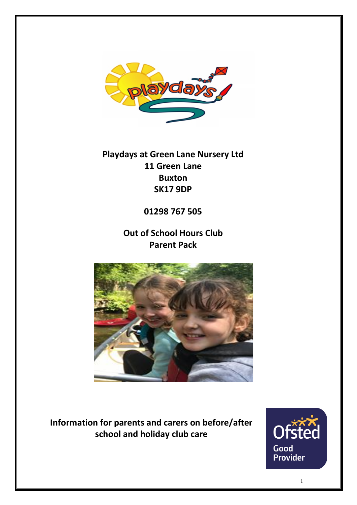

**Playdays at Green Lane Nursery Ltd 11 Green Lane Buxton SK17 9DP**

# **01298 767 505**

**Out of School Hours Club Parent Pack**



**Information for parents and carers on before/after school and holiday club care**

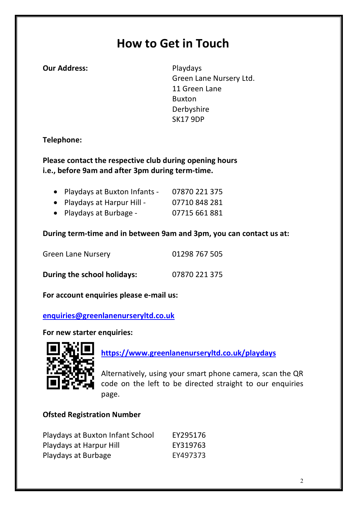# **How to Get in Touch**

**Our Address:** Playdays

Green Lane Nursery Ltd. 11 Green Lane Buxton Derbyshire SK17 9DP

### **Telephone:**

**Please contact the respective club during opening hours i.e., before 9am and after 3pm during term-time.**

| • Playdays at Buxton Infants - | 07870 221 375 |
|--------------------------------|---------------|
| • Playdays at Harpur Hill -    | 07710 848 281 |
| • Playdays at Burbage -        | 07715 661 881 |

**During term-time and in between 9am and 3pm, you can contact us at:**

| <b>Green Lane Nursery</b>   | 01298 767 505 |
|-----------------------------|---------------|
| During the school holidays: | 07870 221 375 |

**For account enquiries please e-mail us:**

#### **enquiries@greenlanenurseryltd.co.uk**

**For new starter enquiries:**



**https://www.greenlanenurseryltd.co.uk/playdays**

Alternatively, using your smart phone camera, scan the QR code on the left to be directed straight to our enquiries page.

### **Ofsted Registration Number**

| Playdays at Buxton Infant School | EY295176 |
|----------------------------------|----------|
| Playdays at Harpur Hill          | EY319763 |
| Playdays at Burbage              | EY497373 |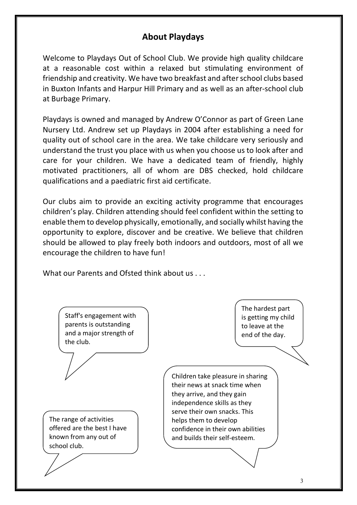# **About Playdays**

Welcome to Playdays Out of School Club. We provide high quality childcare at a reasonable cost within a relaxed but stimulating environment of friendship and creativity. We have two breakfast and after school clubs based in Buxton Infants and Harpur Hill Primary and as well as an after-school club at Burbage Primary.

Playdays is owned and managed by Andrew O'Connor as part of Green Lane Nursery Ltd. Andrew set up Playdays in 2004 after establishing a need for quality out of school care in the area. We take childcare very seriously and understand the trust you place with us when you choose us to look after and care for your children. We have a dedicated team of friendly, highly motivated practitioners, all of whom are DBS checked, hold childcare qualifications and a paediatric first aid certificate.

Our clubs aim to provide an exciting activity programme that encourages children's play. Children attending should feel confident within the setting to enable them to develop physically, emotionally, and socially whilst having the opportunity to explore, discover and be creative. We believe that children should be allowed to play freely both indoors and outdoors, most of all we encourage the children to have fun!

What our Parents and Ofsted think about us . . .

| Staff's engagement with<br>parents is outstanding<br>and a major strength of<br>the club. | The hardest part<br>is getting my child<br>to leave at the<br>end of the day.<br>Children take pleasure in sharing         |
|-------------------------------------------------------------------------------------------|----------------------------------------------------------------------------------------------------------------------------|
|                                                                                           | their news at snack time when<br>they arrive, and they gain<br>independence skills as they<br>serve their own snacks. This |
| The range of activities                                                                   | helps them to develop                                                                                                      |
| offered are the best I have                                                               | confidence in their own abilities                                                                                          |
| known from any out of                                                                     | and builds their self-esteem.                                                                                              |
| school club.                                                                              |                                                                                                                            |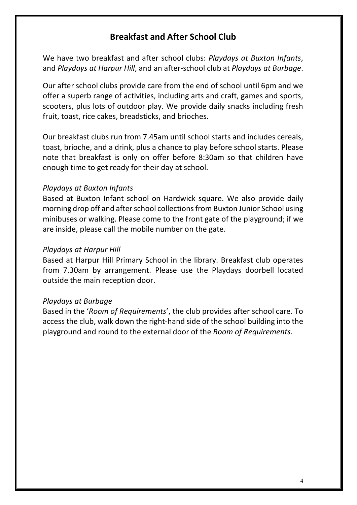# **Breakfast and After School Club**

We have two breakfast and after school clubs: *Playdays at Buxton Infants*, and *Playdays at Harpur Hill*, and an after-school club at *Playdays at Burbage*.

Our after school clubs provide care from the end of school until 6pm and we offer a superb range of activities, including arts and craft, games and sports, scooters, plus lots of outdoor play. We provide daily snacks including fresh fruit, toast, rice cakes, breadsticks, and brioches.

Our breakfast clubs run from 7.45am until school starts and includes cereals, toast, brioche, and a drink, plus a chance to play before school starts. Please note that breakfast is only on offer before 8:30am so that children have enough time to get ready for their day at school.

#### *Playdays at Buxton Infants*

Based at Buxton Infant school on Hardwick square. We also provide daily morning drop off and after school collections from Buxton Junior School using minibuses or walking. Please come to the front gate of the playground; if we are inside, please call the mobile number on the gate.

#### *Playdays at Harpur Hill*

Based at Harpur Hill Primary School in the library. Breakfast club operates from 7.30am by arrangement. Please use the Playdays doorbell located outside the main reception door.

#### *Playdays at Burbage*

Based in the '*Room of Requirements*', the club provides after school care. To access the club, walk down the right-hand side of the school building into the playground and round to the external door of the *Room of Requirements*.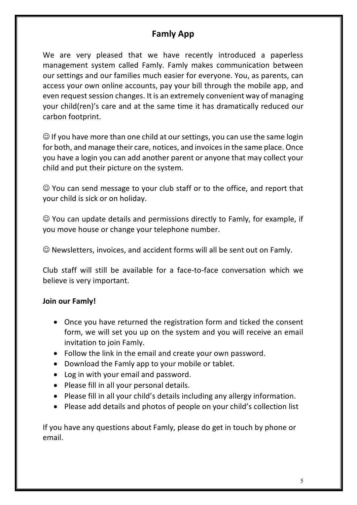# **Famly App**

We are very pleased that we have recently introduced a paperless management system called Famly. Famly makes communication between our settings and our families much easier for everyone. You, as parents, can access your own online accounts, pay your bill through the mobile app, and even request session changes. It is an extremely convenient way of managing your child(ren)'s care and at the same time it has dramatically reduced our carbon footprint.

 $\odot$  If you have more than one child at our settings, you can use the same login for both, and manage their care, notices, and invoices in the same place. Once you have a login you can add another parent or anyone that may collect your child and put their picture on the system.

 $\odot$  You can send message to your club staff or to the office, and report that your child is sick or on holiday.

 $\odot$  You can update details and permissions directly to Famly, for example, if you move house or change your telephone number.

 $\odot$  Newsletters, invoices, and accident forms will all be sent out on Famly.

Club staff will still be available for a face-to-face conversation which we believe is very important.

### **Join our Famly!**

- Once you have returned the registration form and ticked the consent form, we will set you up on the system and you will receive an email invitation to join Famly.
- Follow the link in the email and create your own password.
- Download the Famly app to your mobile or tablet.
- Log in with your email and password.
- Please fill in all your personal details.
- Please fill in all your child's details including any allergy information.
- Please add details and photos of people on your child's collection list

If you have any questions about Famly, please do get in touch by phone or email.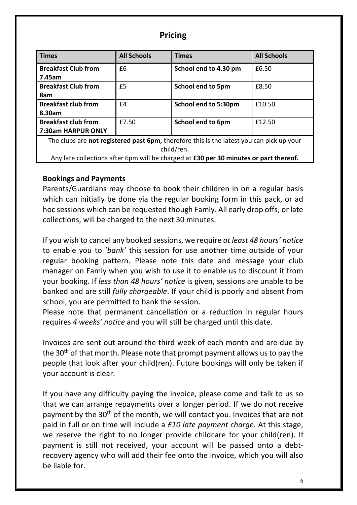### **Pricing**

| <b>Times</b>                                                                                    | <b>All Schools</b> | <b>Times</b>             | <b>All Schools</b> |  |  |
|-------------------------------------------------------------------------------------------------|--------------------|--------------------------|--------------------|--|--|
| <b>Breakfast Club from</b>                                                                      | £6                 | School end to 4.30 pm    | £6.50              |  |  |
| 7.45am                                                                                          |                    |                          |                    |  |  |
| <b>Breakfast Club from</b>                                                                      | £5                 | <b>School end to 5pm</b> | £8.50              |  |  |
| 8am                                                                                             |                    |                          |                    |  |  |
| <b>Breakfast club from</b>                                                                      | £4                 | School end to 5:30pm     | £10.50             |  |  |
| 8.30am                                                                                          |                    |                          |                    |  |  |
| <b>Breakfast club from</b>                                                                      | £7.50              | <b>School end to 6pm</b> | £12.50             |  |  |
| 7:30am HARPUR ONLY                                                                              |                    |                          |                    |  |  |
| The clubs are <b>not registered past 6pm,</b> therefore this is the latest you can pick up your |                    |                          |                    |  |  |
| child/ren.                                                                                      |                    |                          |                    |  |  |

Any late collections after 6pm will be charged at **£30 per 30 minutes or part thereof.**

#### **Bookings and Payments**

Parents/Guardians may choose to book their children in on a regular basis which can initially be done via the regular booking form in this pack, or ad hoc sessions which can be requested though Famly. All early drop offs, or late collections, will be charged to the next 30 minutes.

If you wish to cancel any booked sessions, we require *at least 48 hours' notice* to enable you to '*bank'* this session for use another time outside of your regular booking pattern. Please note this date and message your club manager on Famly when you wish to use it to enable us to discount it from your booking. If *less than 48 hours' notice* is given, sessions are unable to be banked and are still *fully chargeable*. If your child is poorly and absent from school, you are permitted to bank the session.

Please note that permanent cancellation or a reduction in regular hours requires *4 weeks' notice* and you will still be charged until this date.

Invoices are sent out around the third week of each month and are due by the 30<sup>th</sup> of that month. Please note that prompt payment allows us to pay the people that look after your child(ren). Future bookings will only be taken if your account is clear.

If you have any difficulty paying the invoice, please come and talk to us so that we can arrange repayments over a longer period. If we do not receive payment by the 30<sup>th</sup> of the month, we will contact you. Invoices that are not paid in full or on time will include a *£10 late payment charge*. At this stage, we reserve the right to no longer provide childcare for your child(ren). If payment is still not received, your account will be passed onto a debtrecovery agency who will add their fee onto the invoice, which you will also be liable for.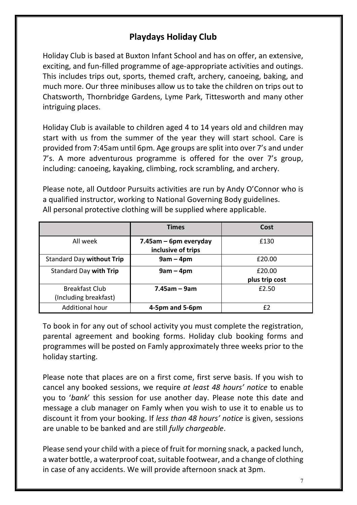# **Playdays Holiday Club**

Holiday Club is based at Buxton Infant School and has on offer, an extensive, exciting, and fun-filled programme of age-appropriate activities and outings. This includes trips out, sports, themed craft, archery, canoeing, baking, and much more. Our three minibuses allow us to take the children on trips out to Chatsworth, Thornbridge Gardens, Lyme Park, Tittesworth and many other intriguing places.

Holiday Club is available to children aged 4 to 14 years old and children may start with us from the summer of the year they will start school. Care is provided from 7:45am until 6pm. Age groups are split into over 7's and under 7's. A more adventurous programme is offered for the over 7's group, including: canoeing, kayaking, climbing, rock scrambling, and archery.

Please note, all Outdoor Pursuits activities are run by Andy O'Connor who is a qualified instructor, working to National Governing Body guidelines. All personal protective clothing will be supplied where applicable.

|                                  | <b>Times</b>          | Cost           |
|----------------------------------|-----------------------|----------------|
| All week                         | 7.45am - 6pm everyday | £130           |
|                                  | inclusive of trips    |                |
| <b>Standard Day without Trip</b> | $9am - 4pm$           | £20.00         |
| Standard Day with Trip           | $9am - 4pm$           | £20.00         |
|                                  |                       | plus trip cost |
| <b>Breakfast Club</b>            | $7.45$ am – 9am       | £2.50          |
| (Including breakfast)            |                       |                |
| <b>Additional hour</b>           | 4-5pm and 5-6pm       | f2             |

To book in for any out of school activity you must complete the registration, parental agreement and booking forms. Holiday club booking forms and programmes will be posted on Famly approximately three weeks prior to the holiday starting.

Please note that places are on a first come, first serve basis. If you wish to cancel any booked sessions, we require *at least 48 hours' notice* to enable you to '*bank*' this session for use another day. Please note this date and message a club manager on Famly when you wish to use it to enable us to discount it from your booking. If *less than 48 hours' notice* is given, sessions are unable to be banked and are still *fully chargeable*.

Please send your child with a piece of fruit for morning snack, a packed lunch, a water bottle, a waterproof coat, suitable footwear, and a change of clothing in case of any accidents. We will provide afternoon snack at 3pm.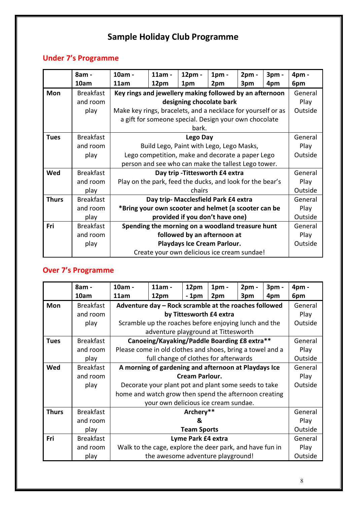# **Sample Holiday Club Programme**

# **Under 7's Programme**

|              | 8am -            | 10am -                                                       | 11am -                   | 12pm -                                                | $1pm$ - | $2pm -$ | 3pm -   | 4pm -   |
|--------------|------------------|--------------------------------------------------------------|--------------------------|-------------------------------------------------------|---------|---------|---------|---------|
|              | 10am             | 11am                                                         | 12pm                     | 1pm                                                   | 2pm     | 3pm     | 4pm     | 6pm     |
| <b>Mon</b>   | <b>Breakfast</b> | Key rings and jewellery making followed by an afternoon      |                          |                                                       |         |         |         | General |
|              | and room         |                                                              | designing chocolate bark |                                                       |         |         |         |         |
|              | play             | Make key rings, bracelets, and a necklace for yourself or as |                          |                                                       |         |         |         | Outside |
|              |                  |                                                              |                          | a gift for someone special. Design your own chocolate |         |         |         |         |
|              |                  |                                                              |                          | bark.                                                 |         |         |         |         |
| <b>Tues</b>  | <b>Breakfast</b> |                                                              |                          | <b>Lego Day</b>                                       |         |         |         | General |
|              | and room         |                                                              |                          | Build Lego, Paint with Lego, Lego Masks,              |         |         |         | Play    |
|              | play             | Lego competition, make and decorate a paper Lego             |                          |                                                       |         |         | Outside |         |
|              |                  | person and see who can make the tallest Lego tower.          |                          |                                                       |         |         |         |         |
| Wed          | <b>Breakfast</b> | Day trip - Tittesworth £4 extra                              |                          |                                                       |         |         | General |         |
|              | and room         | Play on the park, feed the ducks, and look for the bear's    |                          |                                                       |         |         |         | Play    |
|              | play             | chairs                                                       |                          |                                                       |         |         | Outside |         |
| <b>Thurs</b> | <b>Breakfast</b> | Day trip- Macclesfield Park £4 extra                         |                          |                                                       |         | General |         |         |
|              | and room         | *Bring your own scooter and helmet (a scooter can be         |                          |                                                       |         | Play    |         |         |
|              | play             | provided if you don't have one)                              |                          |                                                       |         |         | Outside |         |
| Fri          | <b>Breakfast</b> | Spending the morning on a woodland treasure hunt             |                          |                                                       |         | General |         |         |
|              | and room         | followed by an afternoon at                                  |                          |                                                       |         | Play    |         |         |
|              | play             | Playdays Ice Cream Parlour.                                  |                          |                                                       |         | Outside |         |         |
|              |                  |                                                              |                          | Create your own delicious ice cream sundae!           |         |         |         |         |

# **Over 7's Programme**

|              | 8am -            | 10am -                                                   | 11am -                                                    | 12pm   | 1 <sub>pm</sub> | $2pm -$ | 3 <sub>pm</sub> | 4pm -   |
|--------------|------------------|----------------------------------------------------------|-----------------------------------------------------------|--------|-----------------|---------|-----------------|---------|
|              | 10am             | 11am                                                     | 12pm                                                      | $-1pm$ | 2pm             | 3pm     | 4pm             | 6pm     |
| <b>Mon</b>   | <b>Breakfast</b> |                                                          | Adventure day - Rock scramble at the roaches followed     |        |                 |         |                 | General |
|              | and room         |                                                          | by Tittesworth £4 extra                                   |        |                 |         |                 | Play    |
|              | play             |                                                          | Scramble up the roaches before enjoying lunch and the     |        |                 |         |                 | Outside |
|              |                  |                                                          | adventure playground at Tittesworth                       |        |                 |         |                 |         |
| <b>Tues</b>  | <b>Breakfast</b> |                                                          | Canoeing/Kayaking/Paddle Boarding £8 extra**              |        |                 |         |                 | General |
|              | and room         |                                                          | Please come in old clothes and shoes, bring a towel and a |        |                 |         |                 | Play    |
|              | play             |                                                          | full change of clothes for afterwards                     |        |                 |         |                 |         |
| Wed          | <b>Breakfast</b> | A morning of gardening and afternoon at Playdays Ice     |                                                           |        |                 |         | General         |         |
|              | and room         | <b>Cream Parlour.</b>                                    |                                                           |        |                 |         |                 | Play    |
|              | play             |                                                          | Decorate your plant pot and plant some seeds to take      |        |                 |         |                 |         |
|              |                  | home and watch grow then spend the afternoon creating    |                                                           |        |                 |         |                 |         |
|              |                  | your own delicious ice cream sundae.                     |                                                           |        |                 |         |                 |         |
| <b>Thurs</b> | <b>Breakfast</b> | Archery**                                                |                                                           |        |                 |         | General         |         |
|              | and room         | &                                                        |                                                           |        |                 | Play    |                 |         |
|              | play             | <b>Team Sports</b>                                       |                                                           |        |                 | Outside |                 |         |
| Fri          | <b>Breakfast</b> | Lyme Park £4 extra                                       |                                                           |        |                 | General |                 |         |
|              | and room         | Walk to the cage, explore the deer park, and have fun in |                                                           |        |                 | Play    |                 |         |
|              | play             |                                                          | the awesome adventure playground!                         |        |                 |         | Outside         |         |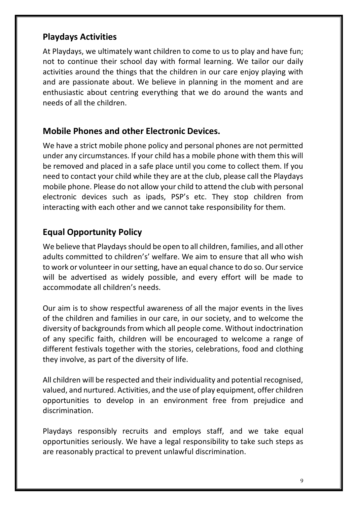## **Playdays Activities**

At Playdays, we ultimately want children to come to us to play and have fun; not to continue their school day with formal learning. We tailor our daily activities around the things that the children in our care enjoy playing with and are passionate about. We believe in planning in the moment and are enthusiastic about centring everything that we do around the wants and needs of all the children.

### **Mobile Phones and other Electronic Devices.**

We have a strict mobile phone policy and personal phones are not permitted under any circumstances. If your child has a mobile phone with them this will be removed and placed in a safe place until you come to collect them. If you need to contact your child while they are at the club, please call the Playdays mobile phone. Please do not allow your child to attend the club with personal electronic devices such as ipads, PSP's etc. They stop children from interacting with each other and we cannot take responsibility for them.

# **Equal Opportunity Policy**

We believe that Playdays should be open to all children, families, and all other adults committed to children's' welfare. We aim to ensure that all who wish to work or volunteer in our setting, have an equal chance to do so. Our service will be advertised as widely possible, and every effort will be made to accommodate all children's needs.

Our aim is to show respectful awareness of all the major events in the lives of the children and families in our care, in our society, and to welcome the diversity of backgrounds from which all people come. Without indoctrination of any specific faith, children will be encouraged to welcome a range of different festivals together with the stories, celebrations, food and clothing they involve, as part of the diversity of life.

All children will be respected and their individuality and potential recognised, valued, and nurtured. Activities, and the use of play equipment, offer children opportunities to develop in an environment free from prejudice and discrimination.

Playdays responsibly recruits and employs staff, and we take equal opportunities seriously. We have a legal responsibility to take such steps as are reasonably practical to prevent unlawful discrimination.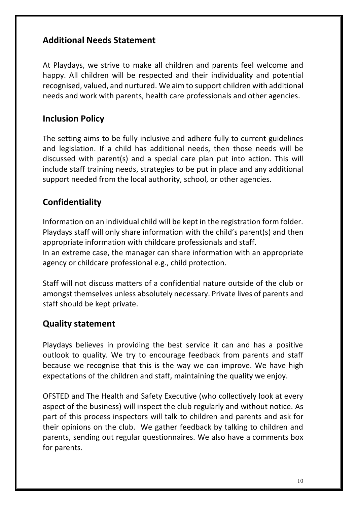# **Additional Needs Statement**

At Playdays, we strive to make all children and parents feel welcome and happy. All children will be respected and their individuality and potential recognised, valued, and nurtured. We aim to support children with additional needs and work with parents, health care professionals and other agencies.

# **Inclusion Policy**

The setting aims to be fully inclusive and adhere fully to current guidelines and legislation. If a child has additional needs, then those needs will be discussed with parent(s) and a special care plan put into action. This will include staff training needs, strategies to be put in place and any additional support needed from the local authority, school, or other agencies.

# **Confidentiality**

Information on an individual child will be kept in the registration form folder. Playdays staff will only share information with the child's parent(s) and then appropriate information with childcare professionals and staff.

In an extreme case, the manager can share information with an appropriate agency or childcare professional e.g., child protection.

Staff will not discuss matters of a confidential nature outside of the club or amongst themselves unless absolutely necessary. Private lives of parents and staff should be kept private.

# **Quality statement**

Playdays believes in providing the best service it can and has a positive outlook to quality. We try to encourage feedback from parents and staff because we recognise that this is the way we can improve. We have high expectations of the children and staff, maintaining the quality we enjoy.

OFSTED and The Health and Safety Executive (who collectively look at every aspect of the business) will inspect the club regularly and without notice. As part of this process inspectors will talk to children and parents and ask for their opinions on the club. We gather feedback by talking to children and parents, sending out regular questionnaires. We also have a comments box for parents.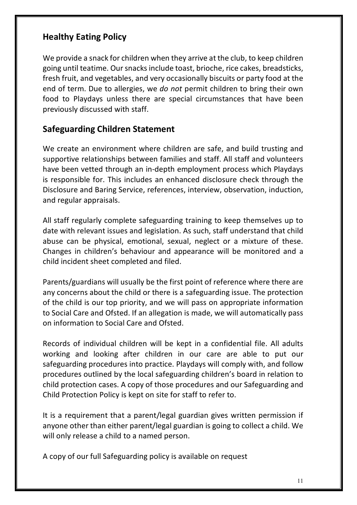# **Healthy Eating Policy**

We provide a snack for children when they arrive at the club, to keep children going until teatime. Our snacks include toast, brioche, rice cakes, breadsticks, fresh fruit, and vegetables, and very occasionally biscuits or party food at the end of term. Due to allergies, we *do not* permit children to bring their own food to Playdays unless there are special circumstances that have been previously discussed with staff.

### **Safeguarding Children Statement**

We create an environment where children are safe, and build trusting and supportive relationships between families and staff. All staff and volunteers have been vetted through an in-depth employment process which Playdays is responsible for. This includes an enhanced disclosure check through the Disclosure and Baring Service, references, interview, observation, induction, and regular appraisals.

All staff regularly complete safeguarding training to keep themselves up to date with relevant issues and legislation. As such, staff understand that child abuse can be physical, emotional, sexual, neglect or a mixture of these. Changes in children's behaviour and appearance will be monitored and a child incident sheet completed and filed.

Parents/guardians will usually be the first point of reference where there are any concerns about the child or there is a safeguarding issue. The protection of the child is our top priority, and we will pass on appropriate information to Social Care and Ofsted. If an allegation is made, we will automatically pass on information to Social Care and Ofsted.

Records of individual children will be kept in a confidential file. All adults working and looking after children in our care are able to put our safeguarding procedures into practice. Playdays will comply with, and follow procedures outlined by the local safeguarding children's board in relation to child protection cases. A copy of those procedures and our Safeguarding and Child Protection Policy is kept on site for staff to refer to.

It is a requirement that a parent/legal guardian gives written permission if anyone other than either parent/legal guardian is going to collect a child. We will only release a child to a named person.

A copy of our full Safeguarding policy is available on request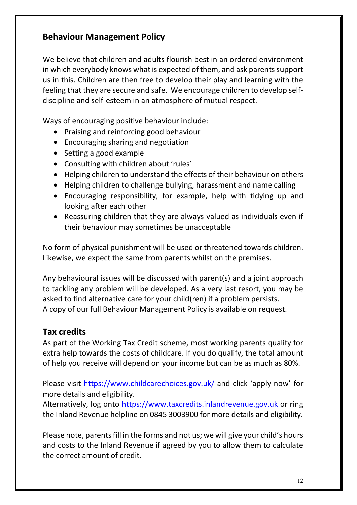# **Behaviour Management Policy**

We believe that children and adults flourish best in an ordered environment in which everybody knows what is expected of them, and ask parents support us in this. Children are then free to develop their play and learning with the feeling that they are secure and safe. We encourage children to develop selfdiscipline and self-esteem in an atmosphere of mutual respect.

Ways of encouraging positive behaviour include:

- Praising and reinforcing good behaviour
- Encouraging sharing and negotiation
- Setting a good example
- Consulting with children about 'rules'
- Helping children to understand the effects of their behaviour on others
- Helping children to challenge bullying, harassment and name calling
- Encouraging responsibility, for example, help with tidying up and looking after each other
- Reassuring children that they are always valued as individuals even if their behaviour may sometimes be unacceptable

No form of physical punishment will be used or threatened towards children. Likewise, we expect the same from parents whilst on the premises.

Any behavioural issues will be discussed with parent(s) and a joint approach to tackling any problem will be developed. As a very last resort, you may be asked to find alternative care for your child(ren) if a problem persists. A copy of our full Behaviour Management Policy is available on request.

### **Tax credits**

As part of the Working Tax Credit scheme, most working parents qualify for extra help towards the costs of childcare. If you do qualify, the total amount of help you receive will depend on your income but can be as much as 80%.

Please visit https://www.childcarechoices.gov.uk/ and click 'apply now' for more details and eligibility.

Alternatively, log onto https://www.taxcredits.inlandrevenue.gov.uk or ring the Inland Revenue helpline on 0845 3003900 for more details and eligibility.

Please note, parents fill in the forms and not us; we will give your child's hours and costs to the Inland Revenue if agreed by you to allow them to calculate the correct amount of credit.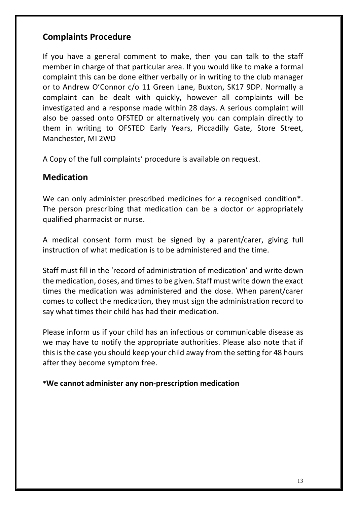# **Complaints Procedure**

If you have a general comment to make, then you can talk to the staff member in charge of that particular area. If you would like to make a formal complaint this can be done either verbally or in writing to the club manager or to Andrew O'Connor c/o 11 Green Lane, Buxton, SK17 9DP. Normally a complaint can be dealt with quickly, however all complaints will be investigated and a response made within 28 days. A serious complaint will also be passed onto OFSTED or alternatively you can complain directly to them in writing to OFSTED Early Years, Piccadilly Gate, Store Street, Manchester, MI 2WD

A Copy of the full complaints' procedure is available on request.

## **Medication**

We can only administer prescribed medicines for a recognised condition<sup>\*</sup>. The person prescribing that medication can be a doctor or appropriately qualified pharmacist or nurse.

A medical consent form must be signed by a parent/carer, giving full instruction of what medication is to be administered and the time.

Staff must fill in the 'record of administration of medication' and write down the medication, doses, and times to be given. Staff must write down the exact times the medication was administered and the dose. When parent/carer comes to collect the medication, they must sign the administration record to say what times their child has had their medication.

Please inform us if your child has an infectious or communicable disease as we may have to notify the appropriate authorities. Please also note that if this is the case you should keep your child away from the setting for 48 hours after they become symptom free.

**\*We cannot administer any non-prescription medication**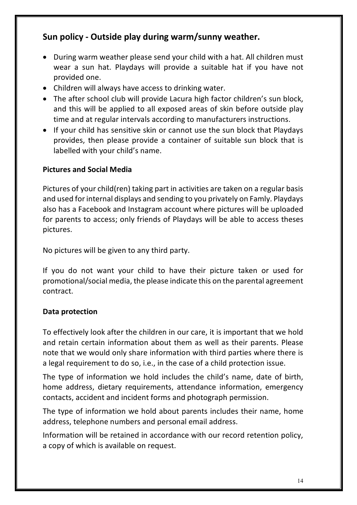# **Sun policy - Outside play during warm/sunny weather.**

- During warm weather please send your child with a hat. All children must wear a sun hat. Playdays will provide a suitable hat if you have not provided one.
- Children will always have access to drinking water.
- The after school club will provide Lacura high factor children's sun block, and this will be applied to all exposed areas of skin before outside play time and at regular intervals according to manufacturers instructions.
- If your child has sensitive skin or cannot use the sun block that Playdays provides, then please provide a container of suitable sun block that is labelled with your child's name.

## **Pictures and Social Media**

Pictures of your child(ren) taking part in activities are taken on a regular basis and used for internal displays and sending to you privately on Famly. Playdays also has a Facebook and Instagram account where pictures will be uploaded for parents to access; only friends of Playdays will be able to access theses pictures.

No pictures will be given to any third party.

If you do not want your child to have their picture taken or used for promotional/social media, the please indicate this on the parental agreement contract.

### **Data protection**

To effectively look after the children in our care, it is important that we hold and retain certain information about them as well as their parents. Please note that we would only share information with third parties where there is a legal requirement to do so, i.e., in the case of a child protection issue.

The type of information we hold includes the child's name, date of birth, home address, dietary requirements, attendance information, emergency contacts, accident and incident forms and photograph permission.

The type of information we hold about parents includes their name, home address, telephone numbers and personal email address.

Information will be retained in accordance with our record retention policy, a copy of which is available on request.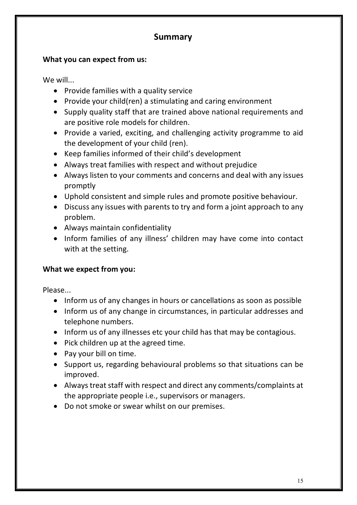# **Summary**

### **What you can expect from us:**

We will...

- Provide families with a quality service
- Provide your child(ren) a stimulating and caring environment
- Supply quality staff that are trained above national requirements and are positive role models for children.
- Provide a varied, exciting, and challenging activity programme to aid the development of your child (ren).
- Keep families informed of their child's development
- Always treat families with respect and without prejudice
- Always listen to your comments and concerns and deal with any issues promptly
- Uphold consistent and simple rules and promote positive behaviour.
- Discuss any issues with parents to try and form a joint approach to any problem.
- Always maintain confidentiality
- Inform families of any illness' children may have come into contact with at the setting.

### **What we expect from you:**

Please...

- Inform us of any changes in hours or cancellations as soon as possible
- Inform us of any change in circumstances, in particular addresses and telephone numbers.
- Inform us of any illnesses etc your child has that may be contagious.
- Pick children up at the agreed time.
- Pay your bill on time.
- Support us, regarding behavioural problems so that situations can be improved.
- Always treat staff with respect and direct any comments/complaints at the appropriate people i.e., supervisors or managers.
- Do not smoke or swear whilst on our premises.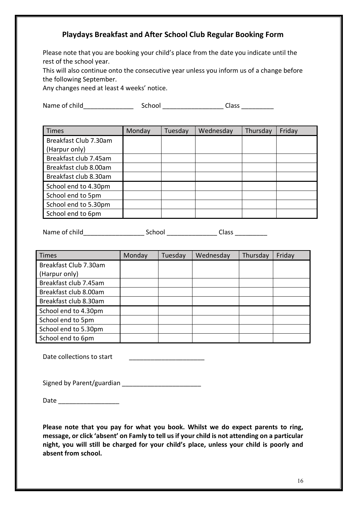### **Playdays Breakfast and After School Club Regular Booking Form**

Please note that you are booking your child's place from the date you indicate until the rest of the school year.

This will also continue onto the consecutive year unless you inform us of a change before the following September.

Any changes need at least 4 weeks' notice.

Name of child\_\_\_\_\_\_\_\_\_\_\_\_\_\_ School \_\_\_\_\_\_\_\_\_\_\_\_\_\_\_\_\_ Class \_\_\_\_\_\_\_\_\_

| <b>Times</b>          | Monday | Tuesday | Wednesday | Thursday | Friday |
|-----------------------|--------|---------|-----------|----------|--------|
| Breakfast Club 7.30am |        |         |           |          |        |
| (Harpur only)         |        |         |           |          |        |
| Breakfast club 7.45am |        |         |           |          |        |
| Breakfast club 8.00am |        |         |           |          |        |
| Breakfast club 8.30am |        |         |           |          |        |
| School end to 4.30pm  |        |         |           |          |        |
| School end to 5pm     |        |         |           |          |        |
| School end to 5.30pm  |        |         |           |          |        |
| School end to 6pm     |        |         |           |          |        |

Name of child\_\_\_\_\_\_\_\_\_\_\_\_\_\_\_\_\_\_\_\_\_\_\_\_\_\_\_\_ School \_\_\_\_\_\_\_\_\_\_\_\_\_\_\_\_\_\_\_\_\_Class \_\_\_\_\_\_\_\_\_\_\_\_

| <b>Times</b>          | Monday | Tuesday | Wednesday | Thursday | Friday |
|-----------------------|--------|---------|-----------|----------|--------|
| Breakfast Club 7.30am |        |         |           |          |        |
| (Harpur only)         |        |         |           |          |        |
| Breakfast club 7.45am |        |         |           |          |        |
| Breakfast club 8.00am |        |         |           |          |        |
| Breakfast club 8.30am |        |         |           |          |        |
| School end to 4.30pm  |        |         |           |          |        |
| School end to 5pm     |        |         |           |          |        |
| School end to 5.30pm  |        |         |           |          |        |
| School end to 6pm     |        |         |           |          |        |

Date collections to start

Signed by Parent/guardian \_\_\_\_\_\_\_\_\_\_\_\_\_\_\_\_\_\_\_\_\_\_

Date \_\_\_\_\_\_\_\_\_\_\_\_\_\_\_\_\_

**Please note that you pay for what you book. Whilst we do expect parents to ring, message, or click 'absent' on Famly to tell us if your child is not attending on a particular night, you will still be charged for your child's place, unless your child is poorly and absent from school.**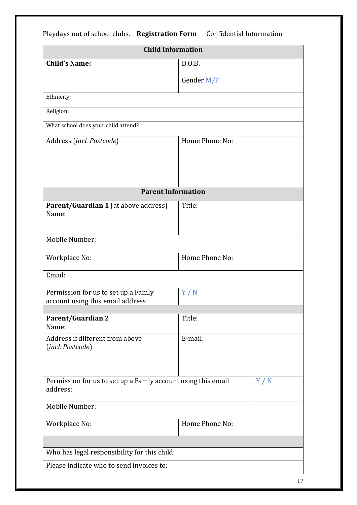Playdays out of school clubs. Registration Form Confidential Information **Child Information Child's Name:**  $\qquad$  D.O.B. Gender M/F Ethnicity: Religion: What school does your child attend? Address (*incl. Postcode*) Home Phone No: **Parent Information Parent/Guardian 1** (at above address) Name: Title: Mobile Number: Workplace No: **Home** Phone No: Email: Permission for us to set up a Famly account using this email address: Y / N **Parent/Guardian 2** Name: Title: Address if different from above (*incl. Postcode*) E-mail: Permission for us to set up a Famly account using this email address:  $Y / N$ Mobile Number: Workplace No: Home Phone No: Who has legal responsibility for this child: Please indicate who to send invoices to:

17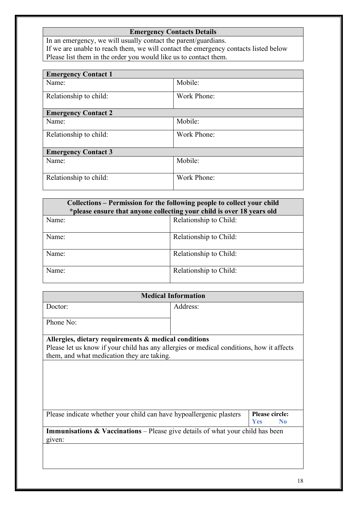### **Emergency Contacts Details**

In an emergency, we will usually contact the parent/guardians. If we are unable to reach them, we will contact the emergency contacts listed below Please list them in the order you would like us to contact them.

| Mobile:     |  |  |
|-------------|--|--|
|             |  |  |
| Work Phone: |  |  |
|             |  |  |
|             |  |  |
| Mobile:     |  |  |
|             |  |  |
| Work Phone: |  |  |
|             |  |  |
|             |  |  |
|             |  |  |
| Mobile:     |  |  |
|             |  |  |
|             |  |  |
| Work Phone: |  |  |
|             |  |  |
|             |  |  |

| Collections – Permission for the following people to collect your child<br>*please ensure that anyone collecting your child is over 18 years old |                        |  |  |  |
|--------------------------------------------------------------------------------------------------------------------------------------------------|------------------------|--|--|--|
| Name:                                                                                                                                            | Relationship to Child: |  |  |  |
| Name:                                                                                                                                            | Relationship to Child: |  |  |  |
| Name:                                                                                                                                            | Relationship to Child: |  |  |  |
| Name:                                                                                                                                            | Relationship to Child: |  |  |  |

| <b>Medical Information</b>                                                                                                             |          |                                                |
|----------------------------------------------------------------------------------------------------------------------------------------|----------|------------------------------------------------|
| Doctor:                                                                                                                                | Address: |                                                |
| Phone No:                                                                                                                              |          |                                                |
| Allergies, dietary requirements & medical conditions                                                                                   |          |                                                |
| Please let us know if your child has any allergies or medical conditions, how it affects<br>them, and what medication they are taking. |          |                                                |
|                                                                                                                                        |          |                                                |
|                                                                                                                                        |          |                                                |
|                                                                                                                                        |          |                                                |
|                                                                                                                                        |          |                                                |
| Please indicate whether your child can have hypoallergenic plasters                                                                    |          | <b>Please circle:</b><br>Yes<br>N <sub>0</sub> |
| <b>Immunisations &amp; Vaccinations</b> – Please give details of what your child has been                                              |          |                                                |
| given:                                                                                                                                 |          |                                                |
|                                                                                                                                        |          |                                                |
|                                                                                                                                        |          |                                                |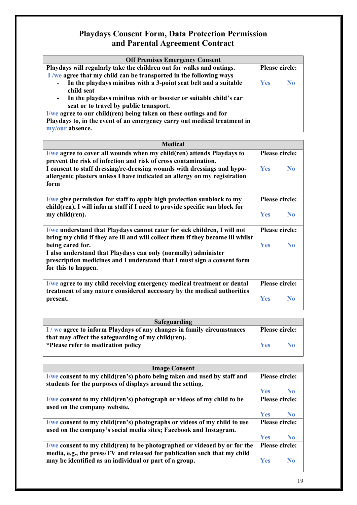### **Playdays Consent Form, Data Protection Permission and Parental Agreement Contract**

| <b>Off Premises Emergency Consent</b>                                                       |                |    |
|---------------------------------------------------------------------------------------------|----------------|----|
| Playdays will regularly take the children out for walks and outings.                        | Please circle: |    |
| I we agree that my child can be transported in the following ways                           |                |    |
| In the playdays minibus with a 3-point seat belt and a suitable<br>$\overline{\phantom{a}}$ | <b>Yes</b>     | No |
| child seat                                                                                  |                |    |
| In the playdays minibus with or booster or suitable child's car<br>$\overline{\phantom{a}}$ |                |    |
| seat or to travel by public transport.                                                      |                |    |
| I/we agree to our child(ren) being taken on these outings and for                           |                |    |
| Playdays to, in the event of an emergency carry out medical treatment in                    |                |    |
| my/our absence.                                                                             |                |    |

| <b>Medical</b>                                                                                                                                                 |                |                |
|----------------------------------------------------------------------------------------------------------------------------------------------------------------|----------------|----------------|
| I/we agree to cover all wounds when my child(ren) attends Playdays to                                                                                          | Please circle: |                |
| prevent the risk of infection and risk of cross contamination.                                                                                                 |                |                |
| I consent to staff dressing/re-dressing wounds with dressings and hypo-                                                                                        | <b>Yes</b>     | N <sub>0</sub> |
| allergenic plasters unless I have indicated an allergy on my registration                                                                                      |                |                |
| form                                                                                                                                                           |                |                |
| $\frac{1}{w}$ give permission for staff to apply high protection sunblock to my<br>child(ren), I will inform staff if I need to provide specific sun block for | Please circle: |                |
| my child(ren).                                                                                                                                                 | <b>Yes</b>     | N <sub>0</sub> |
| <u>I/we understand that Playdays cannot cater for sick children, I will not</u>                                                                                | Please circle: |                |
| bring my child if they are ill and will collect them if they become ill whilst                                                                                 |                |                |
| being cared for.                                                                                                                                               | <b>Yes</b>     | N <sub>0</sub> |
| I also understand that Playdays can only (normally) administer                                                                                                 |                |                |
| prescription medicines and I understand that I must sign a consent form                                                                                        |                |                |
| for this to happen.                                                                                                                                            |                |                |
| I/we agree to my child receiving emergency medical treatment or dental                                                                                         |                | Please circle: |
| treatment of any nature considered necessary by the medical authorities                                                                                        |                |                |
| present.                                                                                                                                                       | <b>Yes</b>     | N <sub>0</sub> |
|                                                                                                                                                                |                |                |

| Safeguarding                                                         |                       |                |
|----------------------------------------------------------------------|-----------------------|----------------|
| I/we agree to inform Playdays of any changes in family circumstances | <b>Please circle:</b> |                |
| that may affect the safeguarding of my child (ren).                  |                       |                |
| *Please refer to medication policy                                   | <b>Yes</b>            | N <sub>0</sub> |
|                                                                      |                       |                |

| <b>Image Consent</b>                                                                                                                                            |                |                |
|-----------------------------------------------------------------------------------------------------------------------------------------------------------------|----------------|----------------|
| I/we consent to my child(ren's) photo being taken and used by staff and                                                                                         | Please circle: |                |
| students for the purposes of displays around the setting.                                                                                                       |                |                |
|                                                                                                                                                                 | <b>Yes</b>     | N <sub>0</sub> |
| I/we consent to my child(ren's) photograph or videos of my child to be<br>used on the company website.                                                          | Please circle: |                |
|                                                                                                                                                                 | <b>Yes</b>     | N <sub>0</sub> |
| I/we consent to my child(ren's) photographs or videos of my child to use<br>used on the company's social media sites; Facebook and Instagram.                   | Please circle: |                |
|                                                                                                                                                                 | <b>Yes</b>     | N <sub>0</sub> |
| $\frac{1}{w}$ consent to my child(ren) to be photographed or videoed by or for the<br>media, e.g., the press/TV and released for publication such that my child |                | Please circle: |
| may be identified as an individual or part of a group.                                                                                                          | <b>Yes</b>     | No             |